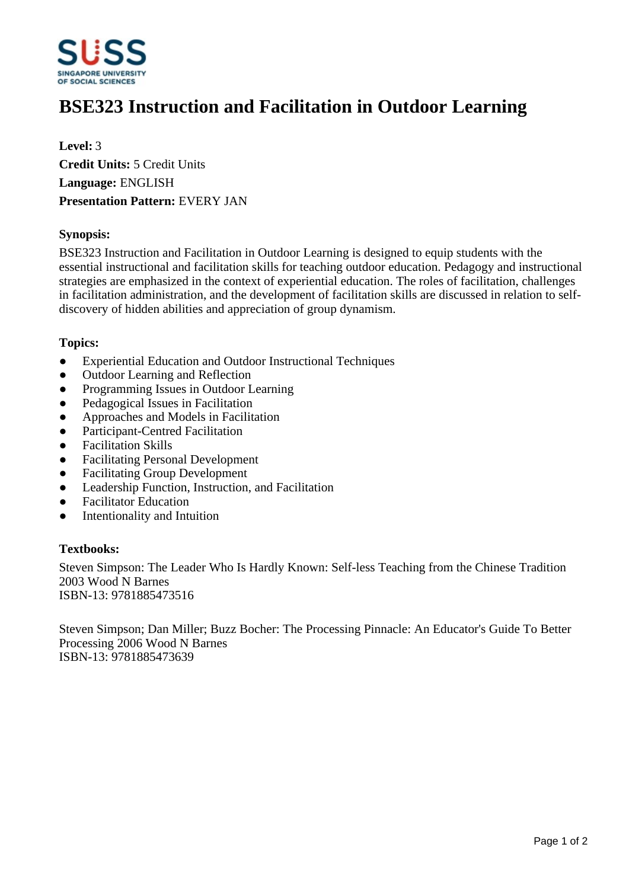

# **BSE323 Instruction and Facilitation in Outdoor Learning**

**Level:** 3 **Credit Units:** 5 Credit Units **Language:** ENGLISH **Presentation Pattern:** EVERY JAN

## **Synopsis:**

BSE323 Instruction and Facilitation in Outdoor Learning is designed to equip students with the essential instructional and facilitation skills for teaching outdoor education. Pedagogy and instructional strategies are emphasized in the context of experiential education. The roles of facilitation, challenges in facilitation administration, and the development of facilitation skills are discussed in relation to selfdiscovery of hidden abilities and appreciation of group dynamism.

### **Topics:**

- ƔExperiential Education and Outdoor Instructional Techniques
- Outdoor Learning and Reflection
- Programming Issues in Outdoor Learning
- Pedagogical Issues in Facilitation
- ƔApproaches and Models in Facilitation
- Participant-Centred Facilitation
- Facilitation Skills
- Facilitating Personal Development
- Facilitating Group Development
- Leadership Function, Instruction, and Facilitation
- Facilitator Education
- Intentionality and Intuition

### **Textbooks:**

Steven Simpson: The Leader Who Is Hardly Known: Self-less Teaching from the Chinese Tradition 2003 Wood N Barnes ISBN-13: 9781885473516

Steven Simpson; Dan Miller; Buzz Bocher: The Processing Pinnacle: An Educator's Guide To Better Processing 2006 Wood N Barnes ISBN-13: 9781885473639